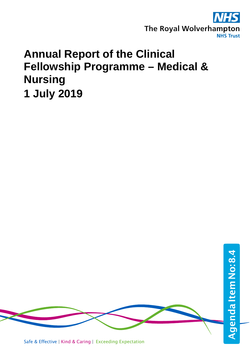

# **Annual Report of the Clinical Fellowship Programme – Medical & Nursing 1 July 2019**

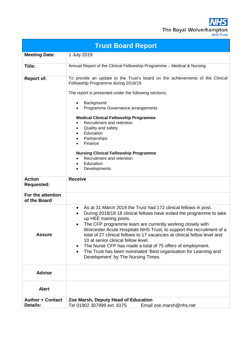|  |  | <b>NHS Trust</b> |  |
|--|--|------------------|--|
|  |  |                  |  |

| <b>Trust Board Report</b>                  |                                                                                                                                                                                                                                                                                                                                                                                                                                                                                                                                                                                                                              |  |  |
|--------------------------------------------|------------------------------------------------------------------------------------------------------------------------------------------------------------------------------------------------------------------------------------------------------------------------------------------------------------------------------------------------------------------------------------------------------------------------------------------------------------------------------------------------------------------------------------------------------------------------------------------------------------------------------|--|--|
| <b>Meeting Date:</b>                       | 1 July 2019                                                                                                                                                                                                                                                                                                                                                                                                                                                                                                                                                                                                                  |  |  |
| <b>Title:</b>                              | Annual Report of the Clinical Fellowship Programme - Medical & Nursing                                                                                                                                                                                                                                                                                                                                                                                                                                                                                                                                                       |  |  |
| <b>Report of:</b>                          | To provide an update to the Trust's board on the achievements of the Clinical<br>Fellowship Programme during 2018/19.<br>The report is presented under the following sections;<br>Background<br>$\bullet$<br>Programme Governance arrangements<br><b>Medical Clinical Fellowship Programme</b><br>Recruitment and retention<br>Quality and safety<br>$\bullet$<br>Education<br>$\bullet$<br>Partnerships<br>Finance                                                                                                                                                                                                          |  |  |
| <b>Action</b><br><b>Requested:</b>         | <b>Nursing Clinical Fellowship Programme</b><br>Recruitment and retention<br>Education<br>$\bullet$<br>Developments<br><b>Receive</b>                                                                                                                                                                                                                                                                                                                                                                                                                                                                                        |  |  |
| For the attention<br>of the Board          |                                                                                                                                                                                                                                                                                                                                                                                                                                                                                                                                                                                                                              |  |  |
| <b>Assure</b>                              | As at 31 March 2019 the Trust had 172 clinical fellows in post.<br>$\bullet$<br>During 2018/19 18 clinical fellows have exited the programme to take<br>up HEE training posts.<br>The CFP programme team are currently working closely with<br>Worcester Acute Hospitals NHS Trust, to support the recruitment of a<br>total of 27 clinical fellows to 17 vacancies at clinical fellow level and<br>10 at senior clinical fellow level.<br>The Nurse CFP has made a total of 75 offers of employment.<br>The Trust has been nominated 'Best organisation for Learning and<br>$\bullet$<br>Development' by The Nursing Times. |  |  |
| <b>Advise</b>                              |                                                                                                                                                                                                                                                                                                                                                                                                                                                                                                                                                                                                                              |  |  |
| <b>Alert</b>                               |                                                                                                                                                                                                                                                                                                                                                                                                                                                                                                                                                                                                                              |  |  |
| <b>Author + Contact</b><br><b>Details:</b> | Zoe Marsh, Deputy Head of Education<br>Tel 01902 307999 ext. 6175<br>Email zoe.marsh@nhs.net                                                                                                                                                                                                                                                                                                                                                                                                                                                                                                                                 |  |  |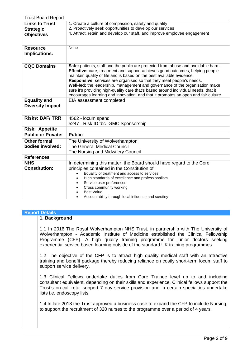| <b>Trust Board Report</b>                                      |                                                                                                                                                                                                                                                                                                                                                                                                                                                                                                                                                                                  |
|----------------------------------------------------------------|----------------------------------------------------------------------------------------------------------------------------------------------------------------------------------------------------------------------------------------------------------------------------------------------------------------------------------------------------------------------------------------------------------------------------------------------------------------------------------------------------------------------------------------------------------------------------------|
| <b>Links to Trust</b><br><b>Strategic</b><br><b>Objectives</b> | 1. Create a culture of compassion, safety and quality<br>2. Proactively seek opportunities to develop our services<br>4. Attract, retain and develop our staff, and improve employee engagement                                                                                                                                                                                                                                                                                                                                                                                  |
| <b>Resource</b><br>Implications:                               | None                                                                                                                                                                                                                                                                                                                                                                                                                                                                                                                                                                             |
| <b>CQC Domains</b>                                             | Safe: patients, staff and the public are protected from abuse and avoidable harm.<br>Effective: care, treatment and support achieves good outcomes, helping people<br>maintain quality of life and is based on the best available evidence.<br>Responsive: services are organised so that they meet people's needs.<br>Well-led: the leadership, management and governance of the organisation make<br>sure it's providing high-quality care that's based around individual needs, that it<br>encourages learning and innovation, and that it promotes an open and fair culture. |
| <b>Equality and</b><br><b>Diversity Impact</b>                 | EIA assessment completed                                                                                                                                                                                                                                                                                                                                                                                                                                                                                                                                                         |
| <b>Risks: BAF/TRR</b>                                          | 4562 - locum spend<br>5247 - Risk ID tbc- GMC Sponsorship                                                                                                                                                                                                                                                                                                                                                                                                                                                                                                                        |
| <b>Risk: Appetite</b>                                          |                                                                                                                                                                                                                                                                                                                                                                                                                                                                                                                                                                                  |
| <b>Public or Private:</b>                                      | <b>Public</b>                                                                                                                                                                                                                                                                                                                                                                                                                                                                                                                                                                    |
| <b>Other formal</b>                                            | The University of Wolverhampton                                                                                                                                                                                                                                                                                                                                                                                                                                                                                                                                                  |
| bodies involved:                                               | The General Medical Council                                                                                                                                                                                                                                                                                                                                                                                                                                                                                                                                                      |
|                                                                | The Nursing and Midwifery Council                                                                                                                                                                                                                                                                                                                                                                                                                                                                                                                                                |
| <b>References</b>                                              |                                                                                                                                                                                                                                                                                                                                                                                                                                                                                                                                                                                  |
| <b>NHS</b><br><b>Constitution:</b>                             | In determining this matter, the Board should have regard to the Core<br>principles contained in the Constitution of:<br>Equality of treatment and access to services<br>High standards of excellence and professionalism<br>$\bullet$<br>Service user preferences<br>$\bullet$<br>Cross community working<br><b>Best Value</b><br>Accountability through local influence and scrutiny                                                                                                                                                                                            |

# **Report Details**

# **1. Background**

1.1 In 2016 The Royal Wolverhampton NHS Trust, in partnership with The University of Wolverhampton - Academic Institute of Medicine established the Clinical Fellowship Programme (CFP). A high quality training programme for junior doctors seeking experiential service based learning outside of the standard UK training programmes.

1.2 The objective of the CFP is to attract high quality medical staff with an attractive training and benefit package thereby reducing reliance on costly short-term locum staff to support service delivery.

1.3 Clinical Fellows undertake duties from Core Trainee level up to and including consultant equivalent, depending on their skills and experience. Clinical fellows support the Trust's on-call rota, support 7 day service provision and in certain specialties undertake lists i.e. endoscopy lists.

1.4 In late 2018 the Trust approved a business case to expand the CFP to include Nursing, to support the recruitment of 320 nurses to the programme over a period of 4 years.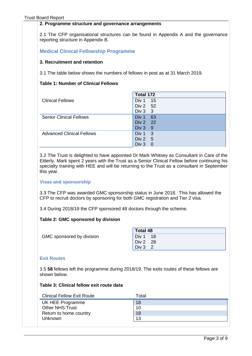## **2. Programme structure and governance arrangements**

2.1 The CFP organisational structures can be found in Appendix A and the governance reporting structure in Appendix B.

# **Medical Clinical Fellowship Programme**

## **3. Recruitment and retention**

3.1 The table below shows the numbers of fellows in post as at 31 March 2019.

## **Table 1: Number of Clinical Fellows**

|                                  | Total 172        |
|----------------------------------|------------------|
| <b>Clinical Fellows</b>          | Div 1<br>15      |
|                                  | Div 2 52         |
|                                  | Div $3 \quad 3$  |
| <b>Senior Clinical Fellows</b>   | Div 1<br>63      |
|                                  | Div 2 22         |
|                                  | Div 3<br>- 9     |
| <b>Advanced Clinical Fellows</b> | Div $1 \quad 3$  |
|                                  | Div $2 \quad 5$  |
|                                  | Div <sub>3</sub> |

3.2 The Trust is delighted to have appointed Dr Mark Whitsey as Consultant in Care of the Elderly. Mark spent 2 years with the Trust as a Senior Clinical Fellow before continuing his specialty training with HEE and will be returning to the Trust as a consultant in September this year.

#### **Visas and sponsorship**

3.3 The CFP was awarded GMC sponsorship status in June 2018. This has allowed the CFP to recruit doctors by sponsoring for both GMC registration and Tier 2 visa.

3.4 During 2018/19 the CFP sponsored 48 doctors through the scheme.

#### **Table 2: GMC sponsored by division**

|                           | Total 48 |
|---------------------------|----------|
| GMC sponsored by division | Div 1 18 |
|                           | Div 2 28 |
|                           | Div 3 2  |

## **Exit Routes**

3.5 **58** fellows left the programme during 2018/19. The exits routes of these fellows are shown below.

# **Table 3: Clinical fellow exit route data**

| <b>Clinical Fellow Exit Route</b> | Total |
|-----------------------------------|-------|
| UK HEE Programme                  | 18    |
| <b>Other NHS Trust</b>            | 10    |
| Return to home country            | 18    |
| <b>Unknown</b>                    | 13    |
|                                   |       |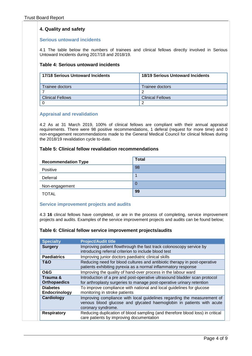# **4. Quality and safety**

#### **Serious untoward incidents**

4.1 The table below the numbers of trainees and clinical fellows directly involved in Serious Untoward Incidents during 2017/18 and 2018/19.

## **Table 4: Serious untoward incidents**

| 17/18 Serious Untoward Incidents | <b>18/19 Serious Untoward Incidents</b> |
|----------------------------------|-----------------------------------------|
| Trainee doctors                  | Trainee doctors                         |
|                                  | റ                                       |
| <b>Clinical Fellows</b>          | <b>Clinical Fellows</b>                 |
|                                  | ີ                                       |

# **Appraisal and revalidation**

4.2 As at 31 March 2019, 100% of clinical fellows are compliant with their annual appraisal requirements. There were 98 positive recommendations, 1 deferal (request for more time) and 0 non-engagement recommendations made to the General Medical Council for clinical fellows during the 2018/19 revalidation cycle to-date.

## **Table 5: Clinical fellow revalidation recommendations**

| <b>Recommendation Type</b> | <b>Total</b> |
|----------------------------|--------------|
| Positive                   | 98           |
| Deferral                   |              |
| Non-engagement             | 0            |
| <b>TOTAL</b>               | 99           |

# **Service improvement projects and audits**

4.3 **16** clincal fellows have completed, or are in the process of completing, service improvement projects and audits. Examples of the service improvement projects and audits can be found below;

#### **Table 6: Clinical fellow service improvement projects/audits**

| <b>Specialty</b>                 | <b>Project/Audit title</b>                                                                                                                                            |
|----------------------------------|-----------------------------------------------------------------------------------------------------------------------------------------------------------------------|
| <b>Surgery</b>                   | Improving patient flowthrough the fast track colonoscopy service by<br>introducing referral criterion to include blood test                                           |
| <b>Paediatrics</b>               | Improving junior doctors paediatric clinical skills                                                                                                                   |
| <b>T&amp;O</b>                   | Reducing need for blood cultures and antibiotic therapy in post-operative<br>patients exhibiting pyrexia as a normal inflammatory response                            |
| <b>O&amp;G</b>                   | Improving the quality of hand-over process in the labour ward                                                                                                         |
| Trauma &<br><b>Orthopaedics</b>  | Introduction of a pre and post-operative ultrasound bladder scan protocol<br>for arthroplasty surgeries to manage post-operative urinary retention                    |
| <b>Diabetes</b><br>Endocrinology | To improve compliance with national and local guidelines for glucose<br>monitoring in stroke patients                                                                 |
| Cardiology                       | Improving compliance with local guidelines regarding the measurement of<br>venous blood glucose and glycated haemoglobin in patients with acute<br>coronary syndrome. |
| <b>Respiratory</b>               | Reducing duplication of blood sampling (and therefore blood loss) in critical<br>care patients by improving documentation                                             |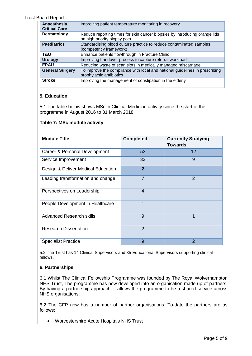# Trust Board Report

| Anaesthesia<br><b>Critical Care</b> | Improving patient temperature monitoring in recovery                                                       |
|-------------------------------------|------------------------------------------------------------------------------------------------------------|
| Dermatology                         | Reduce reporting times for skin cancer biopsies by introducing orange lids<br>on high priority biopsy pots |
| <b>Paediatrics</b>                  | Standardising blood culture practice to reduce contaminated samples<br>(competency framework)              |
| <b>T&amp;O</b>                      | Enhance patients flowthrough in Fracture Clinic                                                            |
| <b>Urology</b>                      | Improving handover process to capture referral workload                                                    |
| <b>EPAU</b>                         | Reducing waste of scan slots in medically managed miscarriage                                              |
| <b>General Surgery</b>              | To improve the compliance with local and national guidelines in prescribing<br>prophylactic antibiotics    |
| <b>Stroke</b>                       | Improving the management of constipation in the elderly                                                    |

# **5. Education**

5.1 The table below shows MSc in Clinical Medicine activity since the start of the programme in August 2016 to 31 March 2018.

# **Table 7: MSc module activity**

| <b>Module Title</b>                | <b>Completed</b> | <b>Currently Studying</b><br><b>Towards</b> |
|------------------------------------|------------------|---------------------------------------------|
| Career & Personal Development      | 53               | 12                                          |
| Service Improvement                | 32               | 9                                           |
| Design & Deliver Medical Education | $\overline{2}$   |                                             |
| Leading transformation and change  | $\overline{7}$   | $\overline{2}$                              |
| Perspectives on Leadership         | 4                |                                             |
| People Development in Healthcare   | 1                |                                             |
| <b>Advanced Research skills</b>    | 9                | 1                                           |
| <b>Research Dissertation</b>       | $\overline{2}$   |                                             |
| <b>Specialist Practice</b>         | 9                | $\overline{2}$                              |

5.2 The Trust has 14 Clinical Supervisors and 35 Educational Supervisors supporting clinical fellows.

# **6. Partnerships**

6.1 Whilst The Clinical Fellowship Programme was founded by The Royal Wolverhampton NHS Trust, The programme has now developed into an organisation made up of partners. By having a partnership approach, it allows the programme to be a shared service across NHS organisations.

6.2 The CFP now has a number of partner organisations. To-date the partners are as follows;

• Worcestershire Acute Hospitals NHS Trust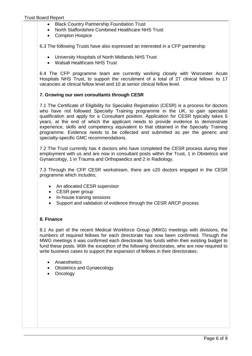- Black Country Partnership Foundation Trust
- North Staffordshire Combined Healthcare NHS Trust
- Compton Hospice

6.3 The following Trusts have also expressed an interested in a CFP partnership

- University Hospitals of North Midlands NHS Trust
- Walsall Healthcare NHS Trust

6.4 The CFP programme team are currently working closely with Worcester Acute Hospitals NHS Trust, to support the recruitment of a total of 27 clinical fellows to 17 vacancies at clinical fellow level and 10 at senior clinical fellow level.

# **7. Growing our own consultants through CESR**

7.1 The Certificate of Eligibility for Specialist Registration (CESR) is a process for doctors who have not followed Specialty Training programme in the UK, to gain specialist qualification and apply for a Consultant position. Application for CESR typically takes 5 years, at the end of which the applicant needs to provide evidence to demonstrate experience, skills and competency equivalent to that obtained in the Specialty Training programme. Evidence needs to be collected and submitted as per the generic and specialty-specific GMC recommendations.

7.2 The Trust currently has 4 doctors who have completed the CESR process during their employment with us and are now in consultant posts within the Trust, 1 in Obstetrics and Gynaecology, 1 in Trauma and Orthopaedics and 2 in Radiology.

7.3 Through the CFP CESR workstream, there are c20 doctors engaged in the CESR programme which includes;

- An allocated CESR supervisor
- CESR peer group
- In-house training sessions
- Support and validation of evidence through the CESR ARCP process

# **8. Finance**

8.1 As part of the recent Medical Workforce Group (MWG) meetings with divisions, the numbers of required fellows for each directorate has now been confirmed. Through the MWG meetings it was confirmed each directorate has funds within their existing budget to fund these posts. With the exception of the following directorates, who are now required to write business cases to support the expansion of fellows in their directorates;

- Anaesthetics
- Obstetrics and Gynaecology
- Oncology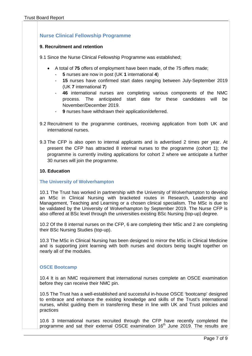# **Nurse Clinical Fellowship Programme**

# **9. Recruitment and retention**

9.1 Since the Nurse Clinical Fellowship Programme was established;

- A total of **75** offers of employment have been made, of the 75 offers made;
	- **5** nurses are now in post (UK **1** international **4**)
	- **15** nurses have confirmed start dates ranging between July-September 2019 (UK **7** international **7**)
	- **46** international nurses are completing various components of the NMC process. The anticipated start date for these candidates will be November/December 2019.
	- 9 nurses have withdrawn their application/deferred.
- 9.2 Recruitment to the programme continues, receiving application from both UK and international nurses.
- 9.3 The CFP is also open to internal applicants and is advertised 2 times per year. At present the CFP has attracted 8 internal nurses to the programme (cohort 1); the programme is currently inviting applications for cohort 2 where we anticipate a further 30 nurses will join the programme.

# **10. Education**

#### **The University of Wolverhampton**

10.1 The Trust has worked in partnership with the University of Wolverhampton to develop an MSc in Clinical Nursing with bracketed routes in Research, Leadership and Management, Teaching and Learning or a chosen clinical specialism. The MSc is due to be validated by the University of Wolverhampton by September 2019. The Nurse CFP is also offered at BSc level through the universities existing BSc Nursing (top-up) degree.

10.2 Of the 8 internal nurses on the CFP, 6 are completing their MSc and 2 are completing their BSc Nursing Studies (top-up).

10.3 The MSc in Clinical Nursing has been designed to mirror the MSc in Clinical Medicine and is supporting joint learning with both nurses and doctors being taught together on nearly all of the modules.

# **OSCE Bootcamp**

10.4 It is an NMC requirement that international nurses complete an OSCE examination before they can receive their NMC pin.

10.5 The Trust has a well-established and successful in-house OSCE 'bootcamp' designed to embrace and enhance the existing knowledge and skills of the Trust's international nurses, whilst guiding them in transferring these in line with UK and Trust policies and practices

10.6 3 International nurses recruited through the CFP have recently completed the programme and sat their external OSCE examination 16<sup>th</sup> June 2019. The results are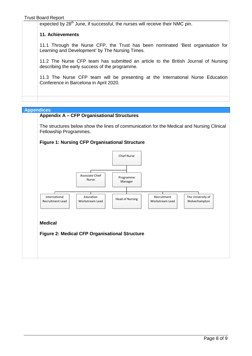expected by 28<sup>th</sup> June, if successful, the nurses will receive their NMC pin.

# **11. Achievements**

11.1 Through the Nurse CFP, the Trust has been nominated 'Best organisation for Learning and Development' by The Nursing Times.

11.2 The Nurse CFP team has submitted an article to the British Journal of Nursing describing the early success of the programme.

11.3 The Nurse CFP team will be presenting at the International Nurse Education Conference in Barcelona in April 2020.